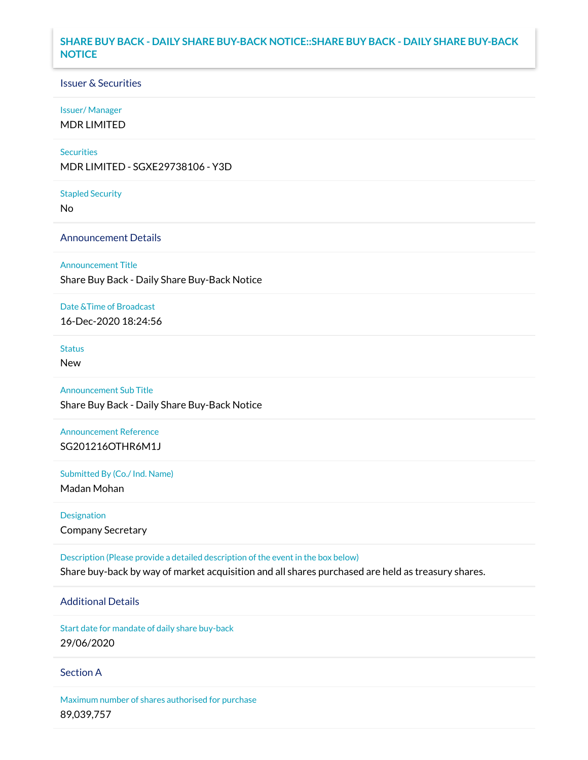## **SHARE BUY BACK - DAILY SHARE BUY-BACK NOTICE::SHARE BUY BACK - DAILY SHARE BUY-BACK NOTICE**

### Issuer & Securities

### Issuer/ Manager

MDR LIMITED

### **Securities**

MDR LIMITED - SGXE29738106 - Y3D

#### Stapled Security

No

### Announcement Details

Announcement Title

Share Buy Back - Daily Share Buy-Back Notice

### Date &Time of Broadcast

16-Dec-2020 18:24:56

## Status

New

# Announcement Sub Title

Share Buy Back - Daily Share Buy-Back Notice

## Announcement Reference SG201216OTHR6M1J

Submitted By (Co./ Ind. Name)

Madan Mohan

Designation Company Secretary

Description (Please provide a detailed description of the event in the box below) Share buy-back by way of market acquisition and all shares purchased are held as treasury shares.

## Additional Details

Start date for mandate of daily share buy-back 29/06/2020

### Section A

Maximum number of shares authorised for purchase 89,039,757